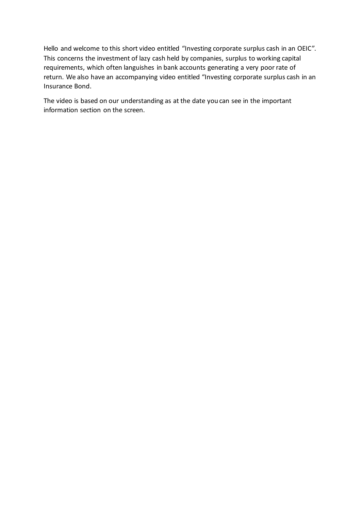Hello and welcome to this short video entitled "Investing corporate surplus cash in an OEIC". This concerns the investment of lazy cash held by companies, surplus to working capital requirements, which often languishes in bank accounts generating a very poor rate of return. We also have an accompanying video entitled "Investing corporate surplus cash in an Insurance Bond.

The video is based on our understanding as at the date you can see in the important information section on the screen.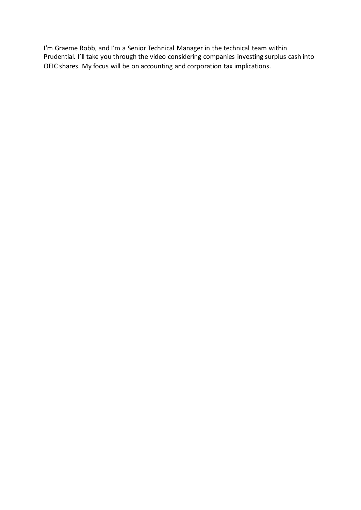I'm Graeme Robb, and I'm a Senior Technical Manager in the technical team within Prudential. I'll take you through the video considering companies investing surplus cash into OEIC shares. My focus will be on accounting and corporation tax implications.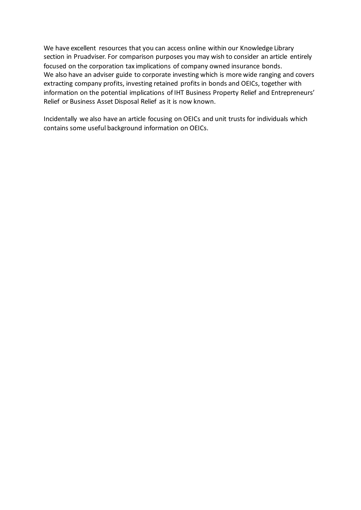We have excellent resources that you can access online within our Knowledge Library section in Pruadviser. For comparison purposes you may wish to consider an article entirely focused on the corporation tax implications of company owned insurance bonds. We also have an adviser guide to corporate investing which is more wide ranging and covers extracting company profits, investing retained profits in bonds and OEICs, together with information on the potential implications of IHT Business Property Relief and Entrepreneurs' Relief or Business Asset Disposal Relief as it is now known.

Incidentally we also have an article focusing on OEICs and unit trusts for individuals which contains some useful background information on OEICs.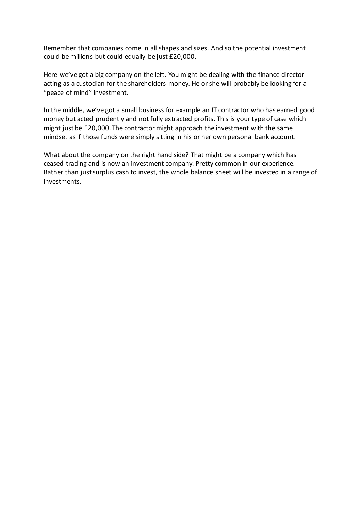Remember that companies come in all shapes and sizes. And so the potential investment could be millions but could equally be just £20,000.

Here we've got a big company on the left. You might be dealing with the finance director acting as a custodian for the shareholders money. He or she will probably be looking for a "peace of mind" investment.

In the middle, we've got a small business for example an IT contractor who has earned good money but acted prudently and not fully extracted profits. This is your type of case which might just be £20,000. The contractor might approach the investment with the same mindset as if those funds were simply sitting in his or her own personal bank account.

What about the company on the right hand side? That might be a company which has ceased trading and is now an investment company. Pretty common in our experience. Rather than just surplus cash to invest, the whole balance sheet will be invested in a range of investments.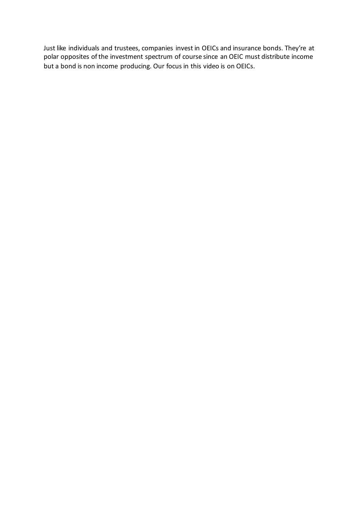Just like individuals and trustees, companies invest in OEICs and insurance bonds. They're at polar opposites of the investment spectrum of course since an OEIC must distribute income but a bond is non income producing. Our focus in this video is on OEICs.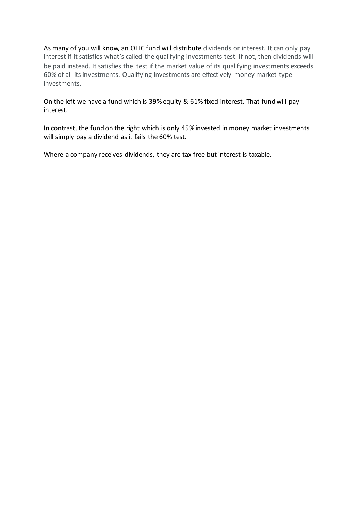As many of you will know, an OEIC fund will distribute dividends or interest. It can only pay interest if it satisfies what's called the qualifying investments test. If not, then dividends will be paid instead. It satisfies the test if the market value of its qualifying investments exceeds 60% of all its investments. Qualifying investments are effectively money market type investments.

On the left we have a fund which is 39% equity & 61% fixed interest. That fund will pay interest.

In contrast, the fund on the right which is only 45% invested in money market investments will simply pay a dividend as it fails the 60% test.

Where a company receives dividends, they are tax free but interest is taxable.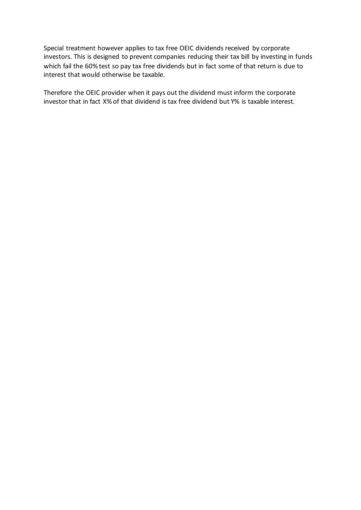Special treatment however applies to tax free OEIC dividends received by corporate investors. This is designed to prevent companies reducing their tax bill by investing in funds which fail the 60% test so pay tax free dividends but in fact some of that return is due to interest that would otherwise be taxable.

Therefore the OEIC provider when it pays out the dividend must inform the corporate investor that in fact X% of that dividend is tax free dividend but Y% is taxable interest.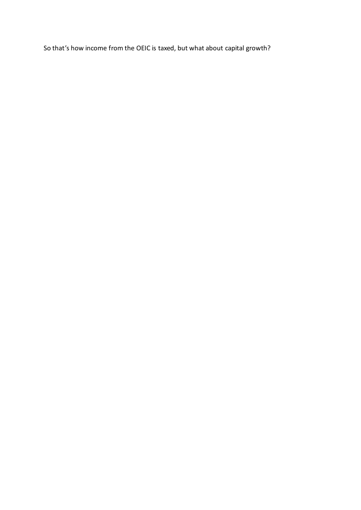So that's how income from the OEIC is taxed, but what about capital growth?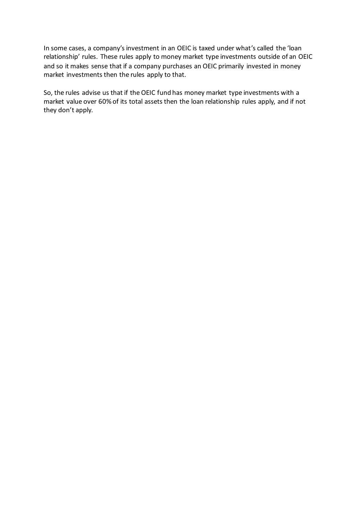In some cases, a company's investment in an OEIC is taxed under what's called the 'loan relationship' rules. These rules apply to money market type investments outside of an OEIC and so it makes sense that if a company purchases an OEIC primarily invested in money market investments then the rules apply to that.

So, the rules advise us that if the OEIC fund has money market type investments with a market value over 60% of its total assets then the loan relationship rules apply, and if not they don't apply.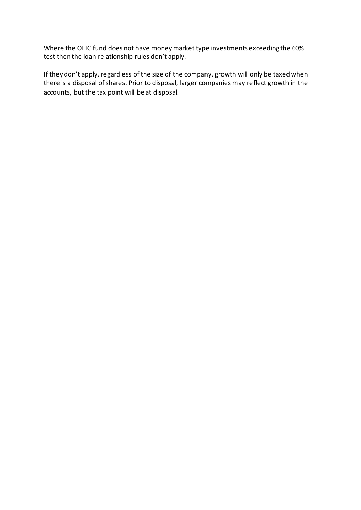Where the OEIC fund does not have money market type investments exceeding the 60% test then the loan relationship rules don't apply.

If they don't apply, regardless of the size of the company, growth will only be taxed when there is a disposal of shares. Prior to disposal, larger companies may reflect growth in the accounts, but the tax point will be at disposal.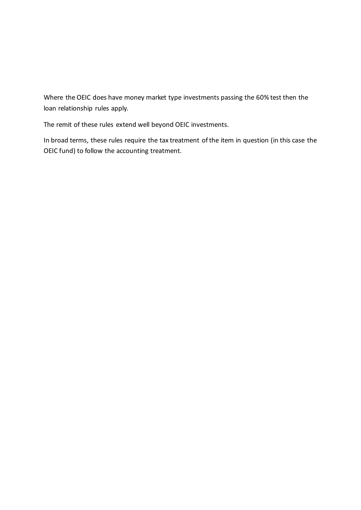Where the OEIC does have money market type investments passing the 60% test then the loan relationship rules apply.

The remit of these rules extend well beyond OEIC investments.

In broad terms, these rules require the tax treatment of the item in question (in this case the OEIC fund) to follow the accounting treatment.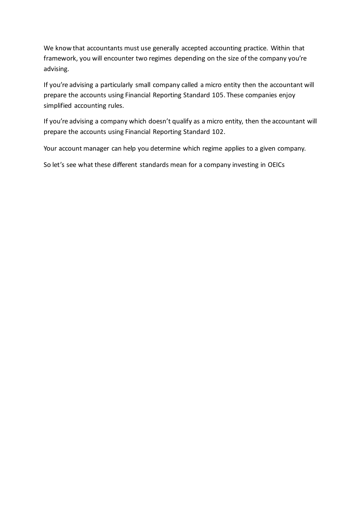We know that accountants must use generally accepted accounting practice. Within that framework, you will encounter two regimes depending on the size of the company you're advising.

If you're advising a particularly small company called a micro entity then the accountant will prepare the accounts using Financial Reporting Standard 105. These companies enjoy simplified accounting rules.

If you're advising a company which doesn't qualify as a micro entity, then the accountant will prepare the accounts using Financial Reporting Standard 102.

Your account manager can help you determine which regime applies to a given company.

So let's see what these different standards mean for a company investing in OEICs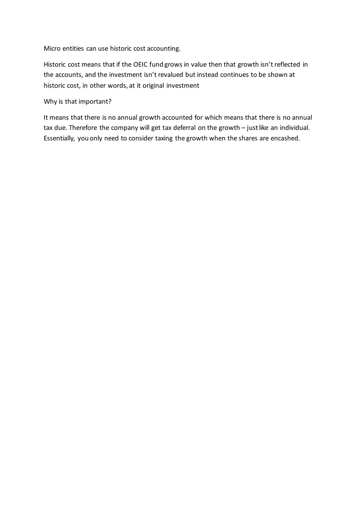Micro entities can use historic cost accounting.

Historic cost means that if the OEIC fund grows in value then that growth isn't reflected in the accounts, and the investment isn't revalued but instead continues to be shown at historic cost, in other words, at it original investment

Why is that important?

It means that there is no annual growth accounted for which means that there is no annual tax due. Therefore the company will get tax deferral on the growth – just like an individual. Essentially, you only need to consider taxing the growth when the shares are encashed.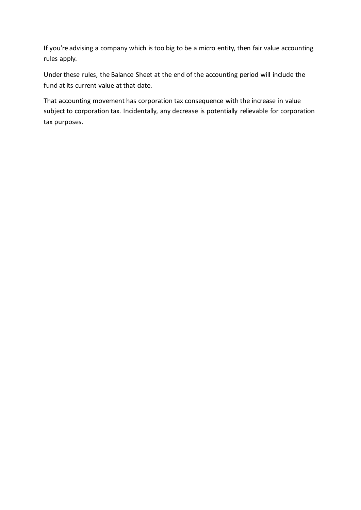If you're advising a company which is too big to be a micro entity, then fair value accounting rules apply.

Under these rules, the Balance Sheet at the end of the accounting period will include the fund at its current value at that date.

That accounting movement has corporation tax consequence with the increase in value subject to corporation tax. Incidentally, any decrease is potentially relievable for corporation tax purposes.